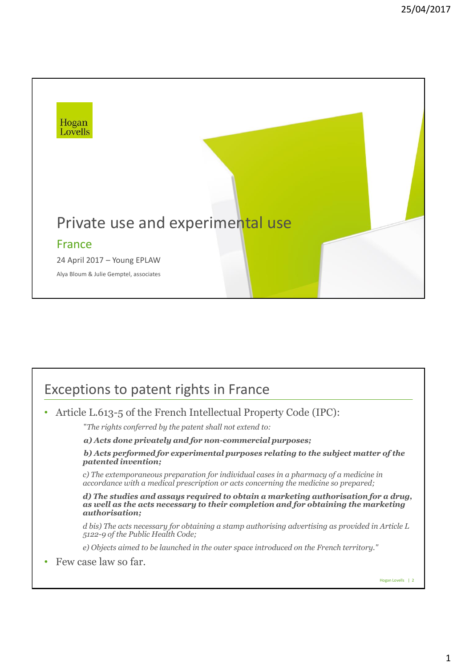

## Exceptions to patent rights in France

• Article L.613-5 of the French Intellectual Property Code (IPC):

"*The rights conferred by the patent shall not extend to:*

*a) Acts done privately and for non-commercial purposes;*

*b) Acts performed for experimental purposes relating to the subject matter of the patented invention;*

*c) The extemporaneous preparation for individual cases in a pharmacy of a medicine in accordance with a medical prescription or acts concerning the medicine so prepared;*

*d) The studies and assays required to obtain a marketing authorisation for a drug, as well as the acts necessary to their completion and for obtaining the marketing authorisation;*

*d bis) The acts necessary for obtaining a stamp authorising advertising as provided in Article L 5122-9 of the Public Health Code;*

*e) Objects aimed to be launched in the outer space introduced on the French territory."*

• Few case law so far.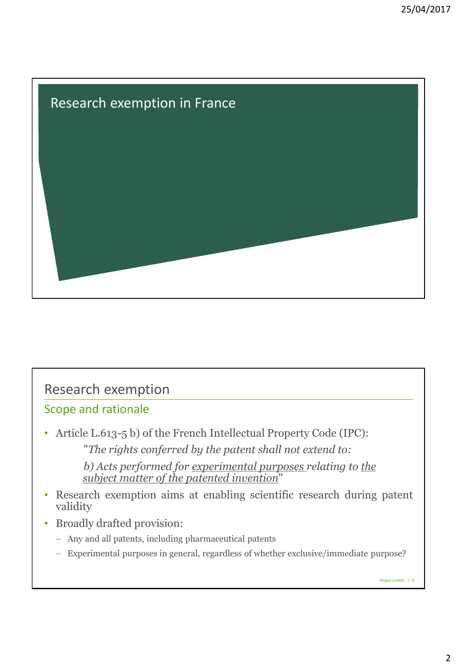

# Research exemption

#### Scope and rationale

• Article L.613-5 b) of the French Intellectual Property Code (IPC): "*The rights conferred by the patent shall not extend to:*

> *b) Acts performed for experimental purposes relating to the subject matter of the patented invention*"

- Research exemption aims at enabling scientific research during patent validity
- Broadly drafted provision:
	- Any and all patents, including pharmaceutical patents
	- Experimental purposes in general, regardless of whether exclusive/immediate purpose?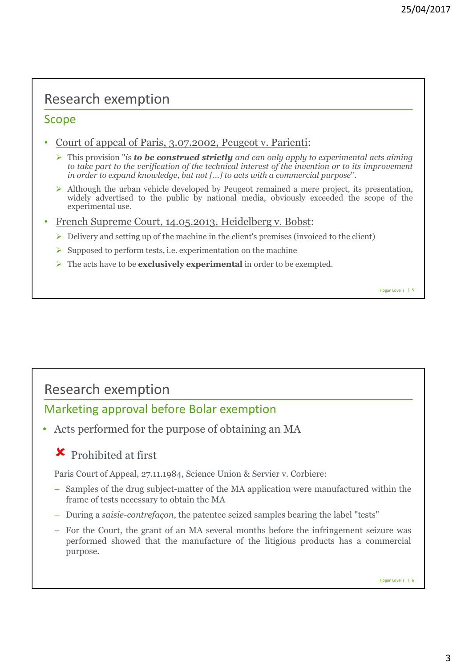### Research exemption

#### Scope

- Court of appeal of Paris, 3.07.2002, Peugeot v. Parienti:
	- This provision "*is to be construed strictly and can only apply to experimental acts aiming to take part to the verification of the technical interest of the invention or to its improvement in order to expand knowledge, but not […] to acts with a commercial purpose*".
	- $\triangleright$  Although the urban vehicle developed by Peugeot remained a mere project, its presentation, widely advertised to the public by national media, obviously exceeded the scope of the experimental use.
- French Supreme Court, 14.05.2013, Heidelberg v. Bobst:
	- $\triangleright$  Delivery and setting up of the machine in the client's premises (invoiced to the client)
	- $\triangleright$  Supposed to perform tests, i.e. experimentation on the machine
	- The acts have to be **exclusively experimental** in order to be exempted.

# Research exemption

### Marketing approval before Bolar exemption

• Acts performed for the purpose of obtaining an MA

### Prohibited at first

Paris Court of Appeal, 27.11.1984, Science Union & Servier v. Corbiere:

- Samples of the drug subject-matter of the MA application were manufactured within the frame of tests necessary to obtain the MA
- During a *saisie-contrefaçon*, the patentee seized samples bearing the label "tests"
- For the Court, the grant of an MA several months before the infringement seizure was performed showed that the manufacture of the litigious products has a commercial purpose.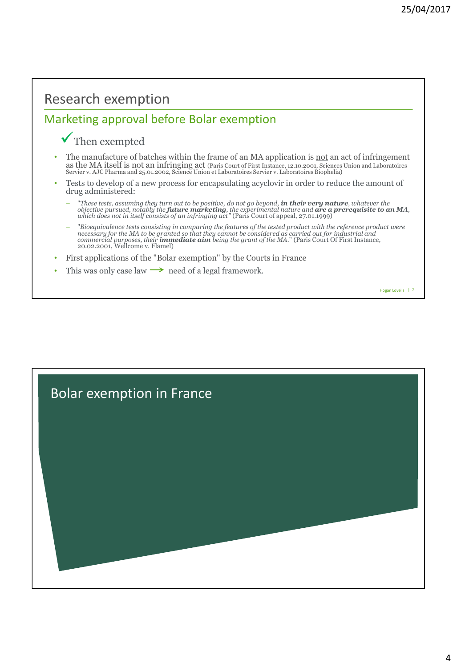### Research exemption

### Marketing approval before Bolar exemption

#### $\checkmark$  Then exempted

- The manufacture of batches within the frame of an MA application is <u>not</u> an act of infringement as the MA itself is not an infringing act (Paris Court of First Instance, 12.10.2001, Sciences Union and Laboratoires Servier v. AJC Pharma and 25.01.2002, Science Union et Laboratoires Servier v. Laboratoires Biophelia)
- Tests to develop of a new process for encapsulating acyclovir in order to reduce the amount of drug administered:
	- "These tests, assuming they turn out to be positive, do not go beyond, **in their very nature**, whatever the objective pursued, notably the **future marketing**, the experimental nature and **are a prerequisite to an MA**, wh
	- "Bioequivalence tests consisting in comparing the features of the tested product with the reference product were<br>necessary for the MA to be granted so that they cannot be considered as carried out for industrial and<br>comm
- First applications of the "Bolar exemption" by the Courts in France
- This was only case law  $\rightarrow$  need of a legal framework.

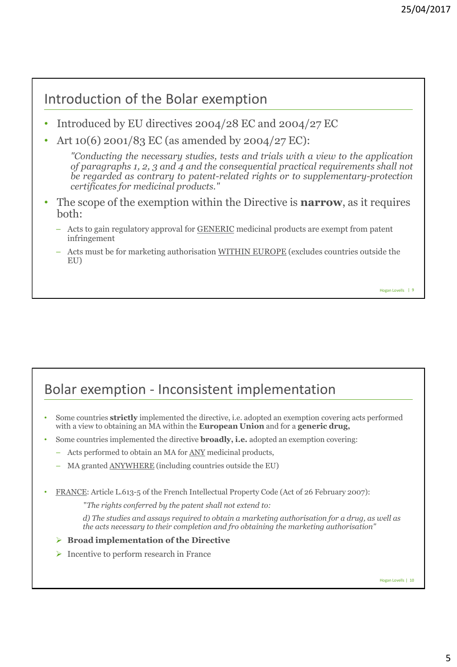### Introduction of the Bolar exemption

- Introduced by EU directives 2004/28 EC and 2004/27 EC
- Art 10(6) 2001/83 EC (as amended by 2004/27 EC):

*"Conducting the necessary studies, tests and trials with a view to the application of paragraphs 1, 2, 3 and 4 and the consequential practical requirements shall not be regarded as contrary to patent-related rights or to supplementary-protection certificates for medicinal products."*

- The scope of the exemption within the Directive is **narrow**, as it requires both:
	- Acts to gain regulatory approval for GENERIC medicinal products are exempt from patent infringement
	- Acts must be for marketing authorisation WITHIN EUROPE (excludes countries outside the EU)

```
Hogan Lovells | 9
```
## Bolar exemption - Inconsistent implementation

- Some countries **strictly** implemented the directive, i.e. adopted an exemption covering acts performed with a view to obtaining an MA within the **European Union** and for a **generic drug,**
- Some countries implemented the directive **broadly, i.e.** adopted an exemption covering:
	- Acts performed to obtain an MA for ANY medicinal products,
	- MA granted ANYWHERE (including countries outside the EU)
- FRANCE: Article L.613-5 of the French Intellectual Property Code (Act of 26 February 2007):

"*The rights conferred by the patent shall not extend to:*

*d) The studies and assays required to obtain a marketing authorisation for a drug, as well as the acts necessary to their completion and fro obtaining the marketing authorisation"*

#### **Broad implementation of the Directive**

 $\triangleright$  Incentive to perform research in France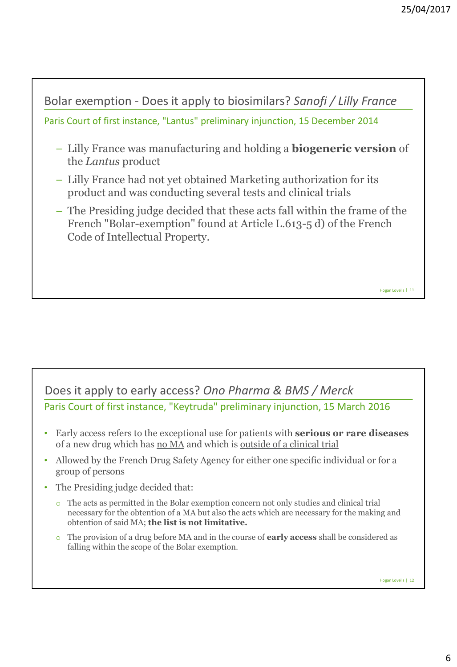

#### Paris Court of first instance, "Keytruda" preliminary injunction, 15 March 2016 Does it apply to early access? *Ono Pharma & BMS / Merck*

- Early access refers to the exceptional use for patients with **serious or rare diseases**  of a new drug which has no MA and which is outside of a clinical trial
- Allowed by the French Drug Safety Agency for either one specific individual or for a group of persons
- The Presiding judge decided that:
	- o The acts as permitted in the Bolar exemption concern not only studies and clinical trial necessary for the obtention of a MA but also the acts which are necessary for the making and obtention of said MA; **the list is not limitative.**
	- o The provision of a drug before MA and in the course of **early access** shall be considered as falling within the scope of the Bolar exemption.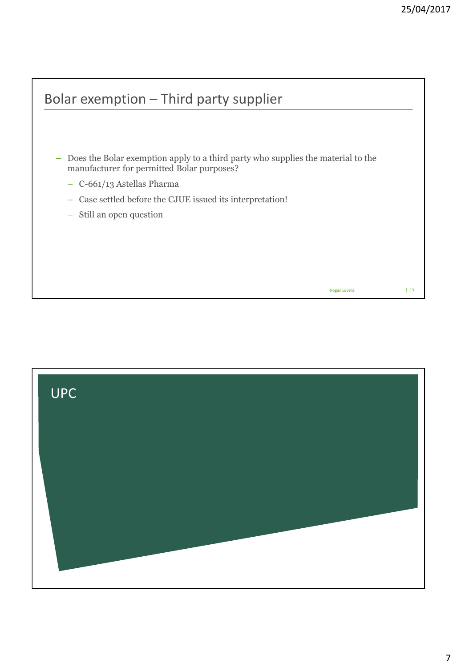

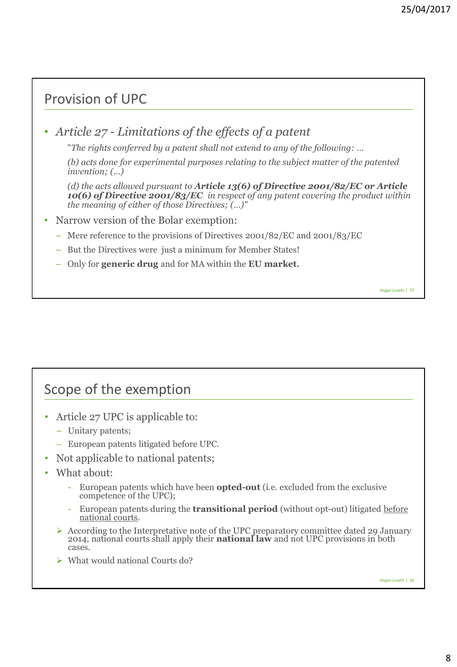# Provision of UPC

• *Article 27 - Limitations of the effects of a patent* 

"*The rights conferred by a patent shall not extend to any of the following: …* 

*(b) acts done for experimental purposes relating to the subject matter of the patented invention; (…)*

*(d) the acts allowed pursuant to Article 13(6) of Directive 2001/82/EC or Article 10(6) of Directive 2001/83/EC in respect of any patent covering the product within the meaning of either of those Directives; (…)"*

- Narrow version of the Bolar exemption:
	- Mere reference to the provisions of Directives 2001/82/EC and 2001/83/EC
	- But the Directives were just a minimum for Member States!
	- Only for **generic drug** and for MA within the **EU market.**

Scope of the exemption

- Article 27 UPC is applicable to:
	- Unitary patents;
	- European patents litigated before UPC.
- Not applicable to national patents;
- What about:
	- European patents which have been **opted-out** (i.e. excluded from the exclusive competence of the UPC);
	- European patents during the **transitional period** (without opt-out) litigated before national courts.
	- $\triangleright$  According to the Interpretative note of the UPC preparatory committee dated 29 January 2014, national courts shall apply their **national law** and not UPC provisions in both cases.
	- What would national Courts do?

Hogan Lovells | 16